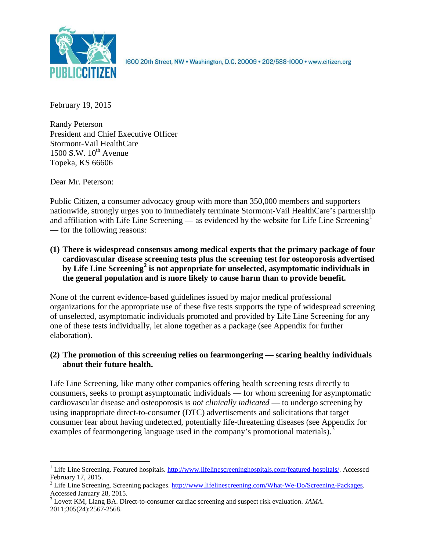

1600 20th Street, NW . Washington, D.C. 20009 . 202/588-1000 . www.citizen.org

February 19, 2015

Randy Peterson President and Chief Executive Officer Stormont-Vail HealthCare  $1500$  S.W.  $10^{th}$  Avenue Topeka, KS 66606

Dear Mr. Peterson:

Public Citizen, a consumer advocacy group with more than 350,000 members and supporters nationwide, strongly urges you to immediately terminate Stormont-Vail HealthCare's partnership and affiliation with Life Line Screening — as evidenced by the website for Life Line Screening<sup>[1](#page-0-0)</sup> — for the following reasons:

**(1) There is widespread consensus among medical experts that the primary package of four cardiovascular disease screening tests plus the screening test for osteoporosis advertised by Life Line Screening[2](#page-0-1) is not appropriate for unselected, asymptomatic individuals in the general population and is more likely to cause harm than to provide benefit.**

None of the current evidence-based guidelines issued by major medical professional organizations for the appropriate use of these five tests supports the type of widespread screening of unselected, asymptomatic individuals promoted and provided by Life Line Screening for any one of these tests individually, let alone together as a package (see Appendix for further elaboration).

# **(2) The promotion of this screening relies on fearmongering — scaring healthy individuals about their future health.**

Life Line Screening, like many other companies offering health screening tests directly to consumers, seeks to prompt asymptomatic individuals — for whom screening for asymptomatic cardiovascular disease and osteoporosis is *not clinically indicated* — to undergo screening by using inappropriate direct-to-consumer (DTC) advertisements and solicitations that target consumer fear about having undetected, potentially life-threatening diseases (see Appendix for examples of fearmongering language used in the company's promotional materials).<sup>[3](#page-0-2)</sup>

<span id="page-0-0"></span><sup>&</sup>lt;sup>1</sup> Life Line Screening. Featured hospitals. [http://www.lifelinescreeninghospitals.com/featured-hospitals/.](http://www.lifelinescreeninghospitals.com/featured-hospitals/) Accessed

<span id="page-0-1"></span>February 17, 2015.<br><sup>2</sup> Life Line Screening. Screening packages. [http://www.lifelinescreening.com/What-We-Do/Screening-Packages.](http://www.lifelinescreening.com/What-We-Do/Screening-Packages)<br>Accessed January 28, 2015.

<span id="page-0-2"></span><sup>&</sup>lt;sup>3</sup> Lovett KM, Liang BA. Direct-to-consumer cardiac screening and suspect risk evaluation. *JAMA*. 2011;305(24):2567-2568.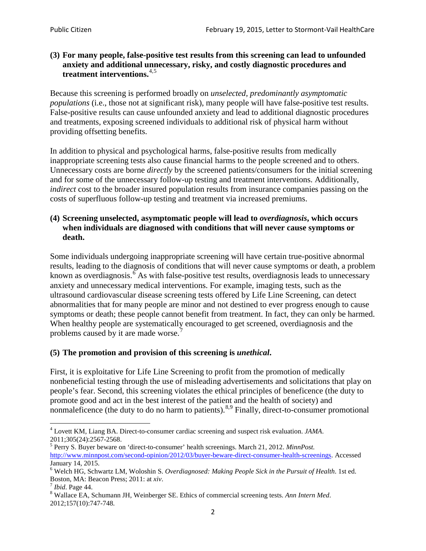# **(3) For many people, false-positive test results from this screening can lead to unfounded anxiety and additional unnecessary, risky, and costly diagnostic procedures and treatment interventions.**[4](#page-1-0),[5](#page-1-1)

Because this screening is performed broadly on *unselected, predominantly asymptomatic populations* (i.e., those not at significant risk), many people will have false**-**positive test results. False-positive results can cause unfounded anxiety and lead to additional diagnostic procedures and treatments, exposing screened individuals to additional risk of physical harm without providing offsetting benefits.

In addition to physical and psychological harms, false-positive results from medically inappropriate screening tests also cause financial harms to the people screened and to others. Unnecessary costs are borne *directly* by the screened patients/consumers for the initial screening and for some of the unnecessary follow-up testing and treatment interventions. Additionally, *indirect* cost to the broader insured population results from insurance companies passing on the costs of superfluous follow-up testing and treatment via increased premiums.

# **(4) Screening unselected, asymptomatic people will lead to** *overdiagnosis***, which occurs when individuals are diagnosed with conditions that will never cause symptoms or death.**

Some individuals undergoing inappropriate screening will have certain true-positive abnormal results, leading to the diagnosis of conditions that will never cause symptoms or death, a problem known as overdiagnosis.<sup>[6](#page-1-2)</sup> As with false-positive test results, overdiagnosis leads to unnecessary anxiety and unnecessary medical interventions. For example, imaging tests, such as the ultrasound cardiovascular disease screening tests offered by Life Line Screening, can detect abnormalities that for many people are minor and not destined to ever progress enough to cause symptoms or death; these people cannot benefit from treatment. In fact, they can only be harmed. When healthy people are systematically encouraged to get screened, overdiagnosis and the problems caused by it are made worse.<sup>[7](#page-1-3)</sup>

# **(5) The promotion and provision of this screening is** *unethical***.**

First, it is exploitative for Life Line Screening to profit from the promotion of medically nonbeneficial testing through the use of misleading advertisements and solicitations that play on people's fear. Second, this screening violates the ethical principles of beneficence (the duty to promote good and act in the best interest of the patient and the health of society) and nonmaleficence (the duty to do no harm to patients).<sup>[8](#page-1-4),[9](#page-1-5)</sup> Finally, direct-to-consumer promotional

<span id="page-1-4"></span>2012;157(10):747-748.

<span id="page-1-5"></span><span id="page-1-0"></span><sup>4</sup> Lovett KM, Liang BA. Direct-to-consumer cardiac screening and suspect risk evaluation. *JAMA*.

<span id="page-1-1"></span><sup>2011;305(24):2567-2568.</sup> <sup>5</sup> Perry S. Buyer beware on 'direct-to-consumer' health screenings. March 21, 2012. *MinnPost.*  [http://www.minnpost.com/second-opinion/2012/03/buyer-beware-direct-consumer-health-screenings.](http://www.minnpost.com/second-opinion/2012/03/buyer-beware-direct-consumer-health-screenings) Accessed January 14, 2015.

<span id="page-1-2"></span><sup>6</sup> Welch HG, Schwartz LM, Woloshin S. *Overdiagnosed: Making People Sick in the Pursuit of Health*. 1st ed. Boston, MA: Beacon Press; 2011: at *xiv*.<br><sup>7</sup> *Ibid*. Page 44.<br><sup>8</sup> Wallace EA, Schumann JH, Weinberger SE. Ethics of commercial screening tests. *Ann Intern Med*.

<span id="page-1-3"></span>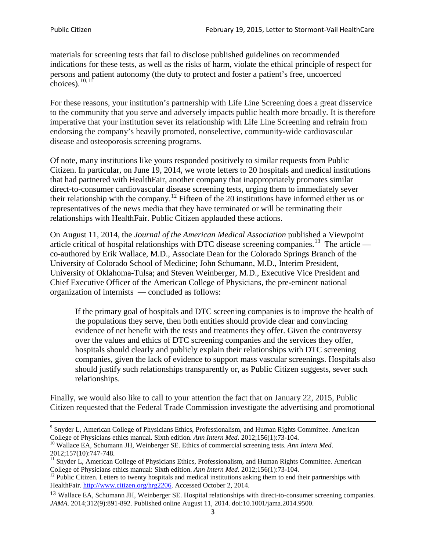materials for screening tests that fail to disclose published guidelines on recommended indications for these tests, as well as the risks of harm, violate the ethical principle of respect for persons and patient autonomy (the duty to protect and foster a patient's free, uncoerced choices). $\frac{10,11}{10,11}$  $\frac{10,11}{10,11}$  $\frac{10,11}{10,11}$  $\frac{10,11}{10,11}$ 

For these reasons, your institution's partnership with Life Line Screening does a great disservice to the community that you serve and adversely impacts public health more broadly. It is therefore imperative that your institution sever its relationship with Life Line Screening and refrain from endorsing the company's heavily promoted, nonselective, community**-**wide cardiovascular disease and osteoporosis screening programs.

Of note, many institutions like yours responded positively to similar requests from Public Citizen. In particular, on June 19, 2014, we wrote letters to 20 hospitals and medical institutions that had partnered with HealthFair, another company that inappropriately promotes similar direct-to-consumer cardiovascular disease screening tests, urging them to immediately sever their relationship with the company. [12](#page-2-2) Fifteen of the 20 institutions have informed either us or representatives of the news media that they have terminated or will be terminating their relationships with HealthFair. Public Citizen applauded these actions.

On August 11, 2014, the *Journal of the American Medical Association* published a Viewpoint article critical of hospital relationships with DTC disease screening companies.<sup>13</sup> The article co-authored by Erik Wallace, M.D., Associate Dean for the Colorado Springs Branch of the University of Colorado School of Medicine; John Schumann, M.D., Interim President, University of Oklahoma-Tulsa; and Steven Weinberger, M.D., Executive Vice President and Chief Executive Officer of the American College of Physicians, the pre**-**eminent national organization of internists — concluded as follows:

If the primary goal of hospitals and DTC screening companies is to improve the health of the populations they serve, then both entities should provide clear and convincing evidence of net benefit with the tests and treatments they offer. Given the controversy over the values and ethics of DTC screening companies and the services they offer, hospitals should clearly and publicly explain their relationships with DTC screening companies, given the lack of evidence to support mass vascular screenings. Hospitals also should justify such relationships transparently or, as Public Citizen suggests, sever such relationships.

Finally, we would also like to call to your attention the fact that on January 22, 2015, Public Citizen requested that the Federal Trade Commission investigate the advertising and promotional

<sup>&</sup>lt;sup>9</sup> Snyder L, American College of Physicians Ethics, Professionalism, and Human Rights Committee. American College of Physicians ethics manual. Sixth edition. Ann Intern Med. 2012;156(1):73-104.

<span id="page-2-0"></span><sup>&</sup>lt;sup>10</sup> Wallace EA, Schumann JH, Weinberger SE. Ethics of commercial screening tests. *Ann Intern Med*. 2012;157(10):747-748.

<span id="page-2-1"></span> $11$  Snyder L, American College of Physicians Ethics, Professionalism, and Human Rights Committee. American College of Physicians ethics manual: Sixth edition. *Ann Intern Med*. 2012;156(1):73-104.<br><sup>12</sup> Public Citizen. Letters to twenty hospitals and medical institutions asking them to end their partnerships with

<span id="page-2-2"></span>HealthFair. [http://www.citizen.org/hrg2206.](http://www.citizen.org/hrg2206) Accessed October 2, 2014.

<span id="page-2-3"></span><sup>13</sup> Wallace EA, Schumann JH, Weinberger SE. Hospital relationships with direct-to-consumer screening companies. *JAMA*. 2014;312(9):891-892. Published online August 11, 2014. doi:10.1001/jama.2014.9500.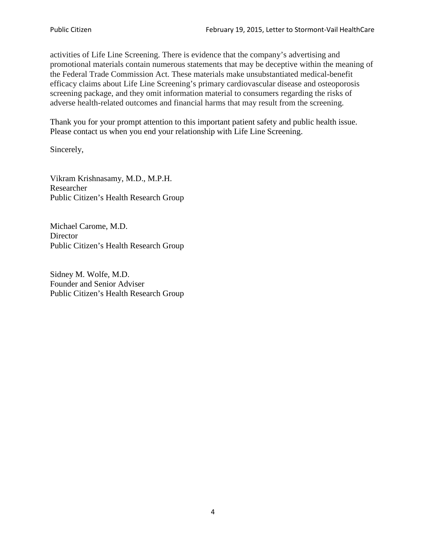activities of Life Line Screening. There is evidence that the company's advertising and promotional materials contain numerous statements that may be deceptive within the meaning of the Federal Trade Commission Act. These materials make unsubstantiated medical-benefit efficacy claims about Life Line Screening's primary cardiovascular disease and osteoporosis screening package, and they omit information material to consumers regarding the risks of adverse health-related outcomes and financial harms that may result from the screening.

Thank you for your prompt attention to this important patient safety and public health issue. Please contact us when you end your relationship with Life Line Screening.

Sincerely,

Vikram Krishnasamy, M.D., M.P.H. Researcher Public Citizen's Health Research Group

Michael Carome, M.D. **Director** Public Citizen's Health Research Group

Sidney M. Wolfe, M.D. Founder and Senior Adviser Public Citizen's Health Research Group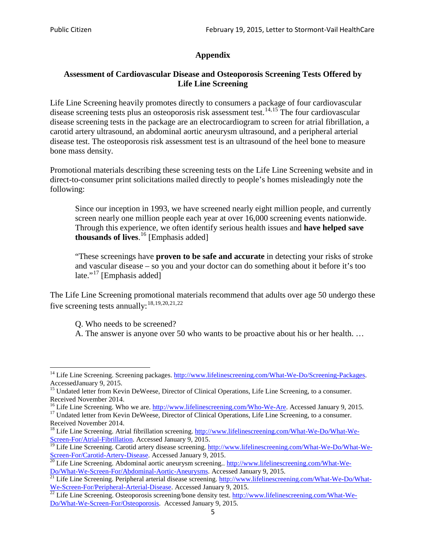# **Appendix**

# **Assessment of Cardiovascular Disease and Osteoporosis Screening Tests Offered by Life Line Screening**

Life Line Screening heavily promotes directly to consumers a package of four cardiovascular disease screening tests plus an osteoporosis risk assessment test.<sup>[14](#page-4-0),[15](#page-4-1)</sup> The four cardiovascular disease screening tests in the package are an electrocardiogram to screen for atrial fibrillation, a carotid artery ultrasound, an abdominal aortic aneurysm ultrasound, and a peripheral arterial disease test. The osteoporosis risk assessment test is an ultrasound of the heel bone to measure bone mass density.

Promotional materials describing these screening tests on the Life Line Screening website and in direct-to-consumer print solicitations mailed directly to people's homes misleadingly note the following:

Since our inception in 1993, we have screened nearly eight million people, and currently screen nearly one million people each year at over 16,000 screening events nationwide. Through this experience, we often identify serious health issues and **have helped save thousands of lives**. [16](#page-4-2) [Emphasis added]

"These screenings have **proven to be safe and accurate** in detecting your risks of stroke and vascular disease – so you and your doctor can do something about it before it's too late."<sup>[17](#page-4-3)</sup> [Emphasis added]

The Life Line Screening promotional materials recommend that adults over age 50 undergo these five screening tests annually:[18](#page-4-4),[19,](#page-4-5)[20,](#page-4-6)[21](#page-4-7),[22](#page-4-8)

Q. Who needs to be screened?

A. The answer is anyone over 50 who wants to be proactive about his or her health. …

<span id="page-4-0"></span><sup>&</sup>lt;sup>14</sup> Life Line Screening. Screening packages. [http://www.lifelinescreening.com/What-We-Do/Screening-Packages.](http://www.lifelinescreening.com/What-We-Do/Screening-Packages) AccessedJanuary 9, 2015.

<span id="page-4-1"></span><sup>&</sup>lt;sup>15</sup> Undated letter from Kevin DeWeese, Director of Clinical Operations, Life Line Screening, to a consumer.

Received November 2014.<br><sup>16</sup> Life Line Screening. Who we are. http://www.lifelinescreening.com/Who-We-Are. Accessed January 9, 2015.

<span id="page-4-3"></span><span id="page-4-2"></span><sup>&</sup>lt;sup>17</sup> Undated letter from Kevin DeWeese, Director of Clinical Operations, Life Line Screening, to a consumer. Received November 2014.

<span id="page-4-4"></span><sup>&</sup>lt;sup>18</sup> Life Line Screening. Atrial fibrillation screening. [http://www.lifelinescreening.com/What-We-Do/What-We-](http://www.lifelinescreening.com/What-We-Do/What-We-Screen-For/Atrial-Fibrillation)[Screen-For/Atrial-Fibrillation.](http://www.lifelinescreening.com/What-We-Do/What-We-Screen-For/Atrial-Fibrillation) Accessed January 9, 2015.

<span id="page-4-5"></span><sup>&</sup>lt;sup>19</sup> Life Line Screening. Carotid artery disease screening. [http://www.lifelinescreening.com/What-We-Do/What-We-](http://www.lifelinescreening.com/What-We-Do/What-We-Screen-For/Carotid-Artery-Disease)

<span id="page-4-6"></span>[Screen-For/Carotid-Artery-Disease.](http://www.lifelinescreening.com/What-We-Do/What-We-Screen-For/Carotid-Artery-Disease) Accessed January 9, 2015.<br><sup>20</sup> Life Line Screening. Abdominal aortic aneurysm screening.. http://www.lifelinescreening.com/What-We-<br>Do/What-We-Screen-For/Abdominal-Aortic-Aneurysms. Acces

<span id="page-4-7"></span> $\frac{1}{21}$  Life Line Screening. Peripheral arterial disease screening. [http://www.lifelinescreening.com/What-We-Do/What-](http://www.lifelinescreening.com/What-We-Do/What-We-Screen-For/Peripheral-Arterial-Disease)

<span id="page-4-8"></span>[We-Screen-For/Peripheral-Arterial-Disease.](http://www.lifelinescreening.com/What-We-Do/What-We-Screen-For/Peripheral-Arterial-Disease) Accessed January 9, 2015.<br><sup>22</sup> Life Line Screening. Osteoporosis screening/bone density test. [http://www.lifelinescreening.com/What-We-](http://www.lifelinescreening.com/What-We-Do/What-We-Screen-For/Osteoporosis)[Do/What-We-Screen-For/Osteoporosis.](http://www.lifelinescreening.com/What-We-Do/What-We-Screen-For/Osteoporosis) Accessed January 9, 2015.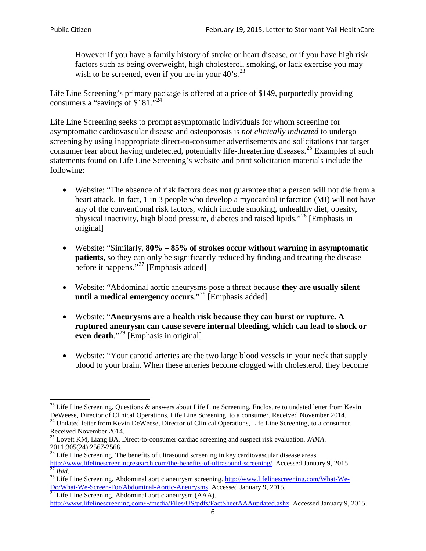However if you have a family history of stroke or heart disease, or if you have high risk factors such as being overweight, high cholesterol, smoking, or lack exercise you may wish to be screened, even if you are in your  $40^\circ$ s.<sup>[23](#page-5-0)</sup>

Life Line Screening's primary package is offered at a price of \$149, purportedly providing consumers a "savings of \$181."<sup>[24](#page-5-1)</sup>

Life Line Screening seeks to prompt asymptomatic individuals for whom screening for asymptomatic cardiovascular disease and osteoporosis is *not clinically indicated* to undergo screening by using inappropriate direct-to-consumer advertisements and solicitations that target consumer fear about having undetected, potentially life-threatening diseases.<sup>[25](#page-5-2)</sup> Examples of such statements found on Life Line Screening's website and print solicitation materials include the following:

- Website: "The absence of risk factors does **not** guarantee that a person will not die from a heart attack. In fact, 1 in 3 people who develop a myocardial infarction (MI) will not have any of the conventional risk factors, which include smoking, unhealthy diet, obesity, physical inactivity, high blood pressure, diabetes and raised lipids."[26](#page-5-3) [Emphasis in original]
- Website: "Similarly, **80% – 85% of strokes occur without warning in asymptomatic patients**, so they can only be significantly reduced by finding and treating the disease before it happens."<sup>[27](#page-5-4)</sup> [Emphasis added]
- Website: "Abdominal aortic aneurysms pose a threat because **they are usually silent until a medical emergency occurs**."[28](#page-5-5) [Emphasis added]
- Website: "**Aneurysms are a health risk because they can burst or rupture. A ruptured aneurysm can cause severe internal bleeding, which can lead to shock or even death.**"<sup>[29](#page-5-6)</sup> [Emphasis in original]
- Website: "Your carotid arteries are the two large blood vessels in your neck that supply blood to your brain. When these arteries become clogged with cholesterol, they become

<span id="page-5-0"></span><sup>&</sup>lt;sup>23</sup> Life Line Screening. Questions  $\&$  answers about Life Line Screening. Enclosure to undated letter from Kevin DeWeese, Director of Clinical Operations, Life Line Screening, to a consumer. Received November 2014.

<span id="page-5-1"></span><sup>&</sup>lt;sup>24</sup> Undated letter from Kevin DeWeese, Director of Clinical Operations, Life Line Screening, to a consumer. Received November 2014.

<span id="page-5-2"></span><sup>25</sup> Lovett KM, Liang BA. Direct-to-consumer cardiac screening and suspect risk evaluation. *JAMA*.  $2011;305(24):2567-2568$ .<br><sup>26</sup> Life Line Screening. The benefits of ultrasound screening in key cardiovascular disease areas.

<span id="page-5-3"></span>[http://www.lifelinescreeningresearch.com/the-benefits-of-ultrasound-screening/.](http://www.lifelinescreeningresearch.com/the-benefits-of-ultrasound-screening/) Accessed January 9, 2015.<br><sup>28</sup> Life Line Screening. Abdominal aortic aneurysm screening. http://www.lifelinescreening.com/What-We-<sup>28</sup>

<span id="page-5-5"></span><span id="page-5-4"></span>[Do/What-We-Screen-For/Abdominal-Aortic-Aneurysms.](http://www.lifelinescreening.com/What-We-Do/What-We-Screen-For/Abdominal-Aortic-Aneurysms) Accessed January 9, 2015. <sup>29</sup> Life Line Screening. Abdominal aortic aneurysm (AAA).

<span id="page-5-6"></span>[http://www.lifelinescreening.com/~/media/Files/US/pdfs/FactSheetAAAupdated.ashx.](http://www.lifelinescreening.com/~/media/Files/US/pdfs/FactSheetAAAupdated.ashx) Accessed January 9, 2015.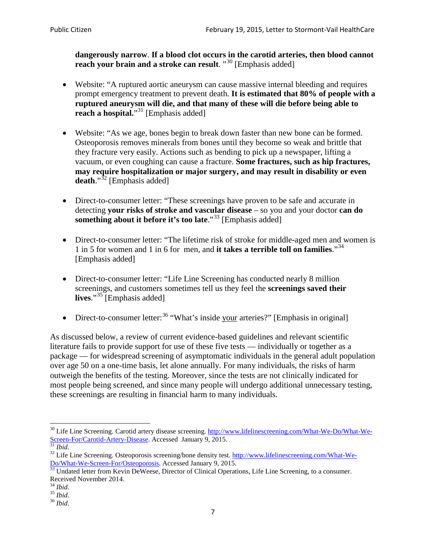**dangerously narrow**. **If a blood clot occurs in the carotid arteries, then blood cannot reach your brain and a stroke can result**. "<sup>[30](#page-6-0)</sup> [Emphasis added]

- Website: "A ruptured aortic aneurysm can cause massive internal bleeding and requires prompt emergency treatment to prevent death. **It is estimated that 80% of people with a ruptured aneurysm will die, and that many of these will die before being able to reach a hospital.**"<sup>[31](#page-6-1)</sup> [Emphasis added]
- Website: "As we age, bones begin to break down faster than new bone can be formed. Osteoporosis removes minerals from bones until they become so weak and brittle that they fracture very easily. Actions such as bending to pick up a newspaper, lifting a vacuum, or even coughing can cause a fracture. **Some fractures, such as hip fractures, may require hospitalization or major surgery, and may result in disability or even**  death."<sup>[32](#page-6-2)</sup> [Emphasis added]
- Direct-to-consumer letter: "These screenings have proven to be safe and accurate in detecting **your risks of stroke and vascular disease** – so you and your doctor **can do something about it before it's too late**."[33](#page-6-3) [Emphasis added]
- Direct-to-consumer letter: "The lifetime risk of stroke for middle-aged men and women is 1 in 5 for women and 1 in 6 for men, and **it takes a terrible toll on families**."[34](#page-6-4) [Emphasis added]
- Direct-to-consumer letter: "Life Line Screening has conducted nearly 8 million screenings, and customers sometimes tell us they feel the **screenings saved their**  lives."<sup>[35](#page-6-5)</sup> [Emphasis added]
- Direct-to-consumer letter:  $36$  "What's inside your arteries?" [Emphasis in original]

As discussed below, a review of current evidence-based guidelines and relevant scientific literature fails to provide support for use of these five tests — individually or together as a package — for widespread screening of asymptomatic individuals in the general adult population over age 50 on a one-time basis, let alone annually. For many individuals, the risks of harm outweigh the benefits of the testing. Moreover, since the tests are not clinically indicated for most people being screened, and since many people will undergo additional unnecessary testing, these screenings are resulting in financial harm to many individuals.

<span id="page-6-0"></span><sup>&</sup>lt;sup>30</sup> Life Line Screening. Carotid artery disease screening. [http://www.lifelinescreening.com/What-We-Do/What-We-](http://www.lifelinescreening.com/What-We-Do/What-We-Screen-For/Carotid-Artery-Disease)[Screen-For/Carotid-Artery-Disease.](http://www.lifelinescreening.com/What-We-Do/What-We-Screen-For/Carotid-Artery-Disease) Accessed January 9, 2015.<br><sup>31</sup> *Ibid.* 32 Life Line Screening. Osteoporosis screening/bone density test. [http://www.lifelinescreening.com/What-We-](http://www.lifelinescreening.com/What-We-Do/What-We-Screen-For/Osteoporosis)

<span id="page-6-2"></span><span id="page-6-1"></span>[Do/What-We-Screen-For/Osteoporosis.](http://www.lifelinescreening.com/What-We-Do/What-We-Screen-For/Osteoporosis) Accessed January 9, 2015. <sup>33</sup> Undated letter from Kevin DeWeese, Director of Clinical Operations, Life Line Screening, to a consumer.

<span id="page-6-3"></span>Received November 2014.<br><sup>34</sup> Ibid.

<span id="page-6-4"></span>

<span id="page-6-5"></span><sup>34</sup> *Ibid*. 35 *Ibid*. 36 *Ibid*.

<span id="page-6-6"></span>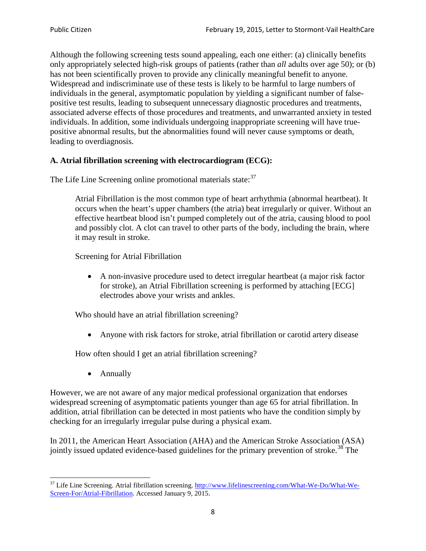Although the following screening tests sound appealing, each one either: (a) clinically benefits only appropriately selected high-risk groups of patients (rather than *all* adults over age 50); or (b) has not been scientifically proven to provide any clinically meaningful benefit to anyone. Widespread and indiscriminate use of these tests is likely to be harmful to large numbers of individuals in the general, asymptomatic population by yielding a significant number of falsepositive test results, leading to subsequent unnecessary diagnostic procedures and treatments, associated adverse effects of those procedures and treatments, and unwarranted anxiety in tested individuals. In addition, some individuals undergoing inappropriate screening will have truepositive abnormal results, but the abnormalities found will never cause symptoms or death, leading to overdiagnosis.

# **A. Atrial fibrillation screening with electrocardiogram (ECG):**

The Life Line Screening online promotional materials state:<sup>[37](#page-7-0)</sup>

Atrial Fibrillation is the most common type of heart arrhythmia (abnormal heartbeat). It occurs when the heart's upper chambers (the atria) beat irregularly or quiver. Without an effective heartbeat blood isn't pumped completely out of the atria, causing blood to pool and possibly clot. A clot can travel to other parts of the body, including the brain, where it may result in stroke.

Screening for Atrial Fibrillation

• A non-invasive procedure used to detect irregular heartbeat (a major risk factor for stroke), an Atrial Fibrillation screening is performed by attaching [ECG] electrodes above your wrists and ankles.

Who should have an atrial fibrillation screening?

• Anyone with risk factors for stroke, atrial fibrillation or carotid artery disease

How often should I get an atrial fibrillation screening?

• Annually

<span id="page-7-1"></span>However, we are not aware of any major medical professional organization that endorses widespread screening of asymptomatic patients younger than age 65 for atrial fibrillation. In addition, atrial fibrillation can be detected in most patients who have the condition simply by checking for an irregularly irregular pulse during a physical exam.

In 2011, the American Heart Association (AHA) and the American Stroke Association (ASA) jointly issued updated evidence-based guidelines for the primary prevention of stroke.<sup>[38](#page-7-1)</sup> The

<span id="page-7-0"></span><sup>&</sup>lt;sup>37</sup> Life Line Screening. Atrial fibrillation screening. [http://www.lifelinescreening.com/What-We-Do/What-We-](http://www.lifelinescreening.com/What-We-Do/What-We-Screen-For/Atrial-Fibrillation)[Screen-For/Atrial-Fibrillation.](http://www.lifelinescreening.com/What-We-Do/What-We-Screen-For/Atrial-Fibrillation) Accessed January 9, 2015.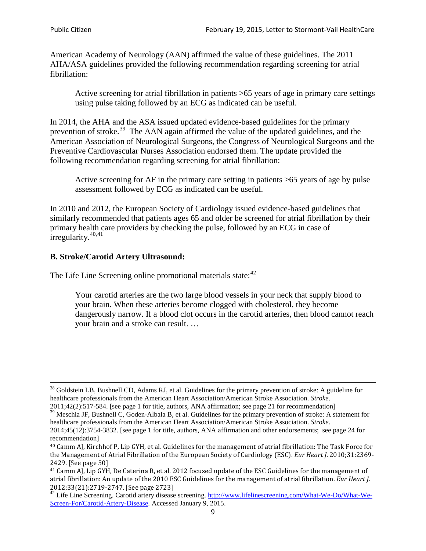American Academy of Neurology (AAN) affirmed the value of these guidelines. The 2011 AHA/ASA guidelines provided the following recommendation regarding screening for atrial fibrillation:

Active screening for atrial fibrillation in patients >65 years of age in primary care settings using pulse taking followed by an ECG as indicated can be useful.

In 2014, the AHA and the ASA issued updated evidence-based guidelines for the primary prevention of stroke.<sup>[39](#page-8-0)</sup> The AAN again affirmed the value of the updated guidelines, and the American Association of Neurological Surgeons, the Congress of Neurological Surgeons and the Preventive Cardiovascular Nurses Association endorsed them. The update provided the following recommendation regarding screening for atrial fibrillation:

Active screening for AF in the primary care setting in patients >65 years of age by pulse assessment followed by ECG as indicated can be useful.

In 2010 and 2012, the European Society of Cardiology issued evidence-based guidelines that similarly recommended that patients ages 65 and older be screened for atrial fibrillation by their primary health care providers by checking the pulse, followed by an ECG in case of irregularity. $40,41$  $40,41$ 

# **B. Stroke/Carotid Artery Ultrasound:**

The Life Line Screening online promotional materials state:<sup>[42](#page-8-3)</sup>

Your carotid arteries are the two large blood vessels in your neck that supply blood to your brain. When these arteries become clogged with cholesterol, they become dangerously narrow. If a blood clot occurs in the carotid arteries, then blood cannot reach your brain and a stroke can result. …

<sup>&</sup>lt;sup>38</sup> Goldstein LB, Bushnell CD, Adams RJ, et al. Guidelines for the primary prevention of stroke: A guideline for healthcare professionals from the American Heart Association/American Stroke Association. *Stroke*.

<sup>2011;42(2):517-584.</sup> [see page 1 for title, authors, ANA affirmation; see page 21 for recommendation]

<span id="page-8-0"></span> $\frac{2011,42(2)(317,601)}{39}$  Meschia JF, Bushnell C, Goden-Albala B, et al. Guidelines for the primary prevention of stroke: A statement for healthcare professionals from the American Heart Association/American Stroke Association. *Stroke*.

<sup>2014;45(12):3754-3832.</sup> [see page 1 for title, authors, ANA affirmation and other endorsements; see page 24 for recommendation]

<span id="page-8-1"></span><sup>40</sup> Camm AJ, Kirchhof P, Lip GYH, et al. Guidelines for the management of atrial fibrillation: The Task Force for the Management of Atrial Fibrillation of the European Society of Cardiology (ESC). *Eur Heart J*. 2010;31:2369- 2429. [See page 50]

<span id="page-8-2"></span><sup>41</sup> Camm AJ, Lip GYH, De Caterina R, et al. 2012 focused update of the ESC Guidelines for the management of atrial fibrillation: An update of the 2010 ESC Guidelines for the management of atrial fibrillation. *Eur Heart J*.

<span id="page-8-3"></span><sup>2012;33(21):2719-2747. [</sup>See page 2723]<br><sup>42</sup> Life Line Screening. Carotid artery disease screening. [http://www.lifelinescreening.com/What-We-Do/What-We-](http://www.lifelinescreening.com/What-We-Do/What-We-Screen-For/Carotid-Artery-Disease)[Screen-For/Carotid-Artery-Disease.](http://www.lifelinescreening.com/What-We-Do/What-We-Screen-For/Carotid-Artery-Disease) Accessed January 9, 2015.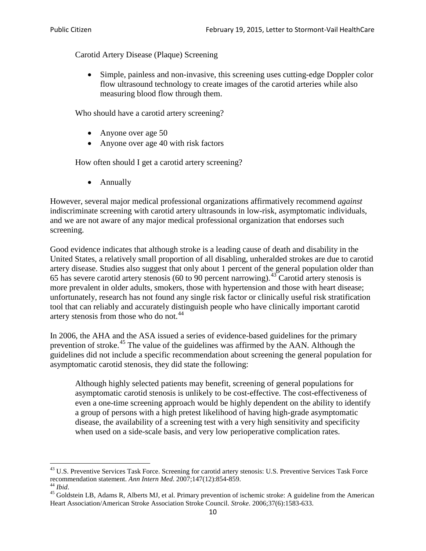Carotid Artery Disease (Plaque) Screening

• Simple, painless and non-invasive, this screening uses cutting-edge Doppler color flow ultrasound technology to create images of the carotid arteries while also measuring blood flow through them.

Who should have a carotid artery screening?

- Anyone over age 50
- Anyone over age 40 with risk factors

How often should I get a carotid artery screening?

• Annually

However, several major medical professional organizations affirmatively recommend *against* indiscriminate screening with carotid artery ultrasounds in low-risk, asymptomatic individuals, and we are not aware of any major medical professional organization that endorses such screening.

Good evidence indicates that although stroke is a leading cause of death and disability in the United States, a relatively small proportion of all disabling, unheralded strokes are due to carotid artery disease. Studies also suggest that only about 1 percent of the general population older than 65 has severe carotid artery stenosis (60 to 90 percent narrowing).<sup>[43](#page-9-0)</sup> Carotid artery stenosis is more prevalent in older adults, smokers, those with hypertension and those with heart disease; unfortunately, research has not found any single risk factor or clinically useful risk stratification tool that can reliably and accurately distinguish people who have clinically important carotid artery stenosis from those who do not.<sup>[44](#page-9-1)</sup>

In 2006, the AHA and the ASA issued a series of evidence-based guidelines for the primary prevention of stroke.[45](#page-9-2) The value of the guidelines was affirmed by the AAN. Although the guidelines did not include a specific recommendation about screening the general population for asymptomatic carotid stenosis, they did state the following:

Although highly selected patients may benefit, screening of general populations for asymptomatic carotid stenosis is unlikely to be cost-effective. The cost-effectiveness of even a one-time screening approach would be highly dependent on the ability to identify a group of persons with a high pretest likelihood of having high-grade asymptomatic disease, the availability of a screening test with a very high sensitivity and specificity when used on a side-scale basis, and very low perioperative complication rates.

<span id="page-9-0"></span> $^{43}$  U.S. Preventive Services Task Force. Screening for carotid artery stenosis: U.S. Preventive Services Task Force recommendation statement. Ann Intern Med. 2007;147(12):854-859.

<span id="page-9-2"></span><span id="page-9-1"></span><sup>&</sup>lt;sup>44</sup> *Ibid*. <sup>45</sup> Goldstein LB, Adams R, Alberts MJ, et al. Primary prevention of ischemic stroke: A guideline from the American <sup>45</sup> Goldstein LB, Adams R, Alberts MJ, et al. Primary prevention of ischemic stroke: A guide Heart Association/American Stroke Association Stroke Council. *Stroke*. 2006;37(6):1583-633.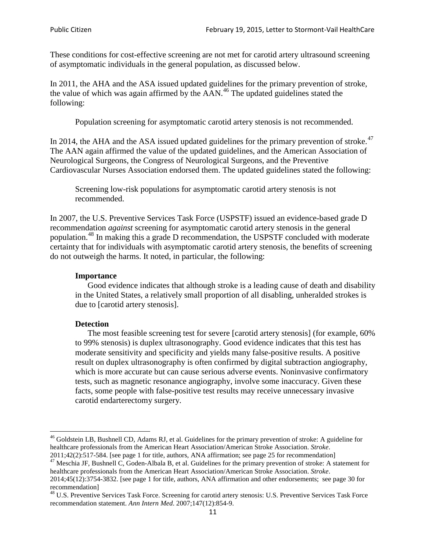These conditions for cost-effective screening are not met for carotid artery ultrasound screening of asymptomatic individuals in the general population, as discussed below.

In 2011, the AHA and the ASA issued updated guidelines for the primary prevention of stroke, the value of which was again affirmed by the  $AAN<sup>46</sup>$  $AAN<sup>46</sup>$  $AAN<sup>46</sup>$ . The updated guidelines stated the following:

Population screening for asymptomatic carotid artery stenosis is not recommended.

In 2014, the AHA and the ASA issued updated guidelines for the primary prevention of stroke.<sup>47</sup> The AAN again affirmed the value of the updated guidelines, and the American Association of Neurological Surgeons, the Congress of Neurological Surgeons, and the Preventive Cardiovascular Nurses Association endorsed them. The updated guidelines stated the following:

Screening low-risk populations for asymptomatic carotid artery stenosis is not recommended.

In 2007, the U.S. Preventive Services Task Force (USPSTF) issued an evidence-based grade D recommendation *against* screening for asymptomatic carotid artery stenosis in the general population.<sup>[48](#page-10-2)</sup> In making this a grade D recommendation, the USPSTF concluded with moderate certainty that for individuals with asymptomatic carotid artery stenosis, the benefits of screening do not outweigh the harms. It noted, in particular, the following:

#### **Importance**

Good evidence indicates that although stroke is a leading cause of death and disability in the United States, a relatively small proportion of all disabling, unheralded strokes is due to [carotid artery stenosis].

#### **Detection**

The most feasible screening test for severe [carotid artery stenosis] (for example, 60% to 99% stenosis) is duplex ultrasonography. Good evidence indicates that this test has moderate sensitivity and specificity and yields many false-positive results. A positive result on duplex ultrasonography is often confirmed by digital subtraction angiography, which is more accurate but can cause serious adverse events. Noninvasive confirmatory tests, such as magnetic resonance angiography, involve some inaccuracy. Given these facts, some people with false-positive test results may receive unnecessary invasive carotid endarterectomy surgery.

<span id="page-10-0"></span><sup>&</sup>lt;sup>46</sup> Goldstein LB, Bushnell CD, Adams RJ, et al. Guidelines for the primary prevention of stroke: A guideline for healthcare professionals from the American Heart Association/American Stroke Association. *Stroke*.<br>2011;42(2):517-584. [see page 1 for title, authors, ANA affirmation; see page 25 for recommendation]

<span id="page-10-1"></span><sup>&</sup>lt;sup>47</sup> Meschia JF, Bushnell C, Goden-Albala B, et al. Guidelines for the primary prevention of stroke: A statement for healthcare professionals from the American Heart Association/American Stroke Association. *Stroke*. 2014;45(12):3754-3832. [see page 1 for title, authors, ANA affirmation and other endorsements; see page 30 for

recommendation]<br><sup>48</sup> U.S. Preventive Services Task Force. Screening for carotid artery stenosis: U.S. Preventive Services Task Force

<span id="page-10-2"></span>recommendation statement. *Ann Intern Med*. 2007;147(12):854-9.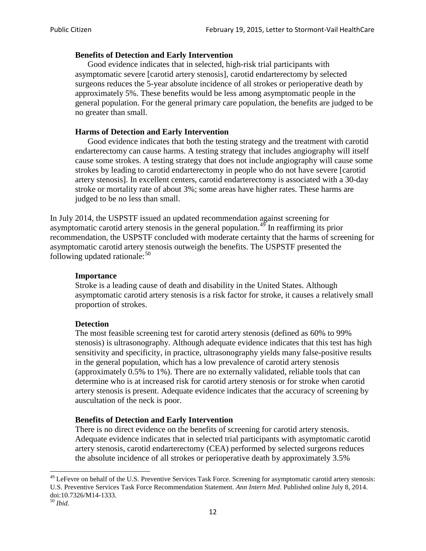## **Benefits of Detection and Early Intervention**

Good evidence indicates that in selected, high-risk trial participants with asymptomatic severe [carotid artery stenosis], carotid endarterectomy by selected surgeons reduces the 5-year absolute incidence of all strokes or perioperative death by approximately 5%. These benefits would be less among asymptomatic people in the general population. For the general primary care population, the benefits are judged to be no greater than small.

## **Harms of Detection and Early Intervention**

Good evidence indicates that both the testing strategy and the treatment with carotid endarterectomy can cause harms. A testing strategy that includes angiography will itself cause some strokes. A testing strategy that does not include angiography will cause some strokes by leading to carotid endarterectomy in people who do not have severe [carotid artery stenosis]. In excellent centers, carotid endarterectomy is associated with a 30-day stroke or mortality rate of about 3%; some areas have higher rates. These harms are judged to be no less than small.

In July 2014, the USPSTF issued an updated recommendation against screening for asymptomatic carotid artery stenosis in the general population.<sup>[49](#page-11-0)</sup> In reaffirming its prior recommendation, the USPSTF concluded with moderate certainty that the harms of screening for asymptomatic carotid artery stenosis outweigh the benefits. The USPSTF presented the following updated rationale: $50$ 

#### **Importance**

Stroke is a leading cause of death and disability in the United States. Although asymptomatic carotid artery stenosis is a risk factor for stroke, it causes a relatively small proportion of strokes.

#### **Detection**

The most feasible screening test for carotid artery stenosis (defined as 60% to 99% stenosis) is ultrasonography. Although adequate evidence indicates that this test has high sensitivity and specificity, in practice, ultrasonography yields many false-positive results in the general population, which has a low prevalence of carotid artery stenosis (approximately 0.5% to 1%). There are no externally validated, reliable tools that can determine who is at increased risk for carotid artery stenosis or for stroke when carotid artery stenosis is present. Adequate evidence indicates that the accuracy of screening by auscultation of the neck is poor.

## **Benefits of Detection and Early Intervention**

There is no direct evidence on the benefits of screening for carotid artery stenosis. Adequate evidence indicates that in selected trial participants with asymptomatic carotid artery stenosis, carotid endarterectomy (CEA) performed by selected surgeons reduces the absolute incidence of all strokes or perioperative death by approximately 3.5%

<span id="page-11-0"></span><sup>&</sup>lt;sup>49</sup> LeFevre on behalf of the U.S. Preventive Services Task Force. Screening for asymptomatic carotid artery stenosis: U.S. Preventive Services Task Force Recommendation Statement. *Ann Intern Med*. Published online July 8, 2014. doi:10.7326/M14-1333. <sup>50</sup> *Ibid*.

<span id="page-11-1"></span>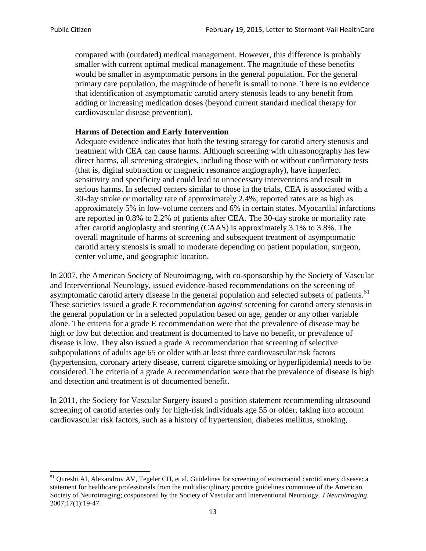compared with (outdated) medical management. However, this difference is probably smaller with current optimal medical management. The magnitude of these benefits would be smaller in asymptomatic persons in the general population. For the general primary care population, the magnitude of benefit is small to none. There is no evidence that identification of asymptomatic carotid artery stenosis leads to any benefit from adding or increasing medication doses (beyond current standard medical therapy for cardiovascular disease prevention).

## **Harms of Detection and Early Intervention**

Adequate evidence indicates that both the testing strategy for carotid artery stenosis and treatment with CEA can cause harms. Although screening with ultrasonography has few direct harms, all screening strategies, including those with or without confirmatory tests (that is, digital subtraction or magnetic resonance angiography), have imperfect sensitivity and specificity and could lead to unnecessary interventions and result in serious harms. In selected centers similar to those in the trials, CEA is associated with a 30-day stroke or mortality rate of approximately 2.4%; reported rates are as high as approximately 5% in low-volume centers and 6% in certain states. Myocardial infarctions are reported in 0.8% to 2.2% of patients after CEA. The 30-day stroke or mortality rate after carotid angioplasty and stenting (CAAS) is approximately 3.1% to 3.8%. The overall magnitude of harms of screening and subsequent treatment of asymptomatic carotid artery stenosis is small to moderate depending on patient population, surgeon, center volume, and geographic location.

In 2007, the American Society of Neuroimaging, with co-sponsorship by the Society of Vascular and Interventional Neurology, issued evidence-based recommendations on the screening of asymptomatic carotid artery disease in the general population and selected subsets of patients.<sup>[51](#page-12-0)</sup> These societies issued a grade E recommendation *against* screening for carotid artery stenosis in the general population or in a selected population based on age, gender or any other variable alone. The criteria for a grade E recommendation were that the prevalence of disease may be high or low but detection and treatment is documented to have no benefit, or prevalence of disease is low. They also issued a grade A recommendation that screening of selective subpopulations of adults age 65 or older with at least three cardiovascular risk factors (hypertension, coronary artery disease, current cigarette smoking or hyperlipidemia) needs to be considered. The criteria of a grade A recommendation were that the prevalence of disease is high and detection and treatment is of documented benefit.

In 2011, the Society for Vascular Surgery issued a position statement recommending ultrasound screening of carotid arteries only for high-risk individuals age 55 or older, taking into account cardiovascular risk factors, such as a history of hypertension, diabetes mellitus, smoking,

<span id="page-12-0"></span><sup>&</sup>lt;sup>51</sup> Qureshi AI, Alexandrov AV, Tegeler CH, et al. Guidelines for screening of extracranial carotid artery disease: a statement for healthcare professionals from the multidisciplinary practice guidelines committee of the American Society of Neuroimaging; cosponsored by the Society of Vascular and Interventional Neurology. *J Neuroimaging*. 2007;17(1):19-47.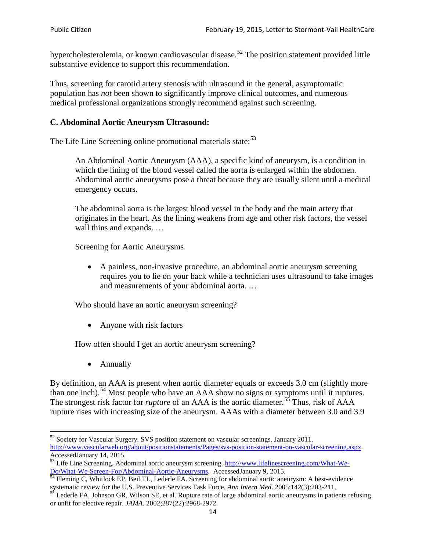hypercholesterolemia, or known cardiovascular disease.<sup>[52](#page-13-0)</sup> The position statement provided little substantive evidence to support this recommendation.

Thus, screening for carotid artery stenosis with ultrasound in the general, asymptomatic population has *not* been shown to significantly improve clinical outcomes, and numerous medical professional organizations strongly recommend against such screening.

## **C. Abdominal Aortic Aneurysm Ultrasound:**

The Life Line Screening online promotional materials state:<sup>[53](#page-13-1)</sup>

An Abdominal Aortic Aneurysm (AAA), a specific kind of aneurysm, is a condition in which the lining of the blood vessel called the aorta is enlarged within the abdomen. Abdominal aortic aneurysms pose a threat because they are usually silent until a medical emergency occurs.

The abdominal aorta is the largest blood vessel in the body and the main artery that originates in the heart. As the lining weakens from age and other risk factors, the vessel wall thins and expands. …

Screening for Aortic Aneurysms

• A painless, non-invasive procedure, an abdominal aortic aneurysm screening requires you to lie on your back while a technician uses ultrasound to take images and measurements of your abdominal aorta. …

Who should have an aortic aneurysm screening?

• Anyone with risk factors

How often should I get an aortic aneurysm screening?

• Annually

By definition, an AAA is present when aortic diameter equals or exceeds 3.0 cm (slightly more than one inch).<sup>[54](#page-13-2)</sup> Most people who have an AAA show no signs or symptoms until it ruptures. The strongest risk factor for *rupture* of an AAA is the aortic diameter.<sup>[55](#page-13-3)</sup> Thus, risk of AAA rupture rises with increasing size of the aneurysm. AAAs with a diameter between 3.0 and 3.9

<span id="page-13-0"></span><sup>&</sup>lt;sup>52</sup> Society for Vascular Surgery. SVS position statement on vascular screenings. January 2011. http://www.vascularweb.org/about/positionstatements/Pages/svs-position-statement-on-vascular-screening.aspx.<br>Accessed January 14, 2015.

<span id="page-13-1"></span>Accessed January 14, 2015.<br>
Sa Life Line Screening. Abdominal aortic aneurysm screening. http://www.lifelinescreening.com/What-We-<br>
Do/What-We-Screen-For/Abdominal-Aortic-Aneurysms. Accessed January 9, 2015.

<span id="page-13-2"></span> $\frac{54}{9}$  Fleming C, Whitlock EP, Beil TL, Lederle FA. Screening for abdominal aortic aneurysm: A best-evidence systematic review for the U.S. Preventive Services Task Force. *Ann Intern Med.* 2005;142(3):203-211.<br><sup>55</sup> Lederle FA, Johnson GR, Wilson SE, et al. Rupture rate of large abdominal aortic aneurysms in patients refusing

<span id="page-13-3"></span>or unfit for elective repair. *JAMA*. 2002;287(22):2968-2972.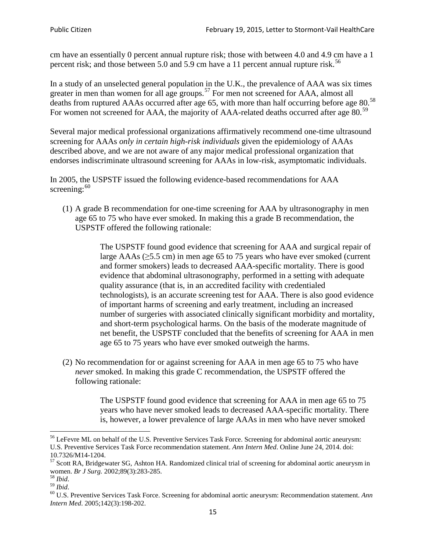cm have an essentially 0 percent annual rupture risk; those with between 4.0 and 4.9 cm have a 1 percent risk; and those between 5.0 and 5.9 cm have a 11 percent annual rupture risk.<sup>[56](#page-14-0)</sup>

In a study of an unselected general population in the U.K., the prevalence of AAA was six times greater in men than women for all age groups.<sup>[57](#page-14-1)</sup> For men not screened for  $AAA$ , almost all deaths from ruptured AAAs occurred after age 65, with more than half occurring before age 80.<sup>[58](#page-14-2)</sup> For women not screened for AAA, the majority of AAA-related deaths occurred after age 80.<sup>[59](#page-14-3)</sup>

Several major medical professional organizations affirmatively recommend one-time ultrasound screening for AAAs *only in certain high-risk individuals* given the epidemiology of AAAs described above, and we are not aware of any major medical professional organization that endorses indiscriminate ultrasound screening for AAAs in low-risk, asymptomatic individuals.

In 2005, the USPSTF issued the following evidence-based recommendations for AAA screening: $60$ 

(1) A grade B recommendation for one-time screening for AAA by ultrasonography in men age 65 to 75 who have ever smoked. In making this a grade [B recommendation,](http://www.uspreventiveservicestaskforce.org/uspstf/gradespre.htm#brec) the USPSTF offered the following rationale:

> The USPSTF found good evidence that screening for AAA and surgical repair of large AAAs ( $\geq$ 5.5 cm) in men age 65 to 75 years who have ever smoked (current and former smokers) leads to decreased AAA-specific mortality. There is good evidence that abdominal ultrasonography, performed in a setting with adequate quality assurance (that is, in an accredited facility with credentialed technologists), is an accurate screening test for AAA. There is also good evidence of important harms of screening and early treatment, including an increased number of surgeries with associated clinically significant morbidity and mortality, and short-term psychological harms. On the basis of the moderate magnitude of net benefit, the USPSTF concluded that the benefits of screening for AAA in men age 65 to 75 years who have ever smoked outweigh the harms.

(2) No recommendation for or against screening for AAA in men age 65 to 75 who have *never* smoked. In making this grade C recommendation, the USPSTF offered the following rationale:

> The USPSTF found good evidence that screening for AAA in men age 65 to 75 years who have never smoked leads to decreased AAA-specific mortality. There is, however, a lower prevalence of large AAAs in men who have never smoked

<span id="page-14-0"></span><sup>&</sup>lt;sup>56</sup> LeFevre ML on behalf of the U.S. Preventive Services Task Force. Screening for abdominal aortic aneurysm: U.S. Preventive Services Task Force recommendation statement. *Ann Intern Med*. Online June 24, 2014. doi:

<span id="page-14-1"></span><sup>10.7326/</sup>M14-1204.<br> $57$  Scott RA, Bridgewater SG, Ashton HA. Randomized clinical trial of screening for abdominal aortic aneurysm in women. *Br J Surg.* 2002;89(3):283-285.

<span id="page-14-4"></span><span id="page-14-3"></span>

<span id="page-14-2"></span><sup>&</sup>lt;sup>58</sup> *Ibid.*<br><sup>59</sup> *Ibid.* 2002;<br><sup>60</sup> U.S. Preventive Services Task Force. Screening for abdominal aortic aneurysm: Recommendation statement. *Ann Intern Med*. 2005;142(3):198-202.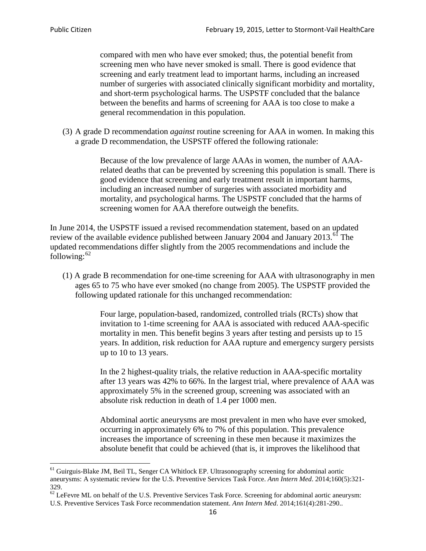compared with men who have ever smoked; thus, the potential benefit from screening men who have never smoked is small. There is good evidence that screening and early treatment lead to important harms, including an increased number of surgeries with associated clinically significant morbidity and mortality, and short-term psychological harms. The USPSTF concluded that the balance between the benefits and harms of screening for AAA is too close to make a general recommendation in this population.

(3) A grade D recommendation *against* routine screening for AAA in women. In making this a grade D recommendation, the USPSTF offered the following rationale:

> Because of the low prevalence of large AAAs in women, the number of AAArelated deaths that can be prevented by screening this population is small. There is good evidence that screening and early treatment result in important harms, including an increased number of surgeries with associated morbidity and mortality, and psychological harms. The USPSTF concluded that the harms of screening women for AAA therefore outweigh the benefits.

In June 2014, the USPSTF issued a revised recommendation statement, based on an updated review of the available evidence published between January 2004 and January 2013.<sup>[61](#page-15-0)</sup> The updated recommendations differ slightly from the 2005 recommendations and include the following: $62$ 

(1) A grade B recommendation for one-time screening for AAA with ultrasonography in men ages 65 to 75 who have ever smoked (no change from 2005). The USPSTF provided the following updated rationale for this unchanged recommendation:

> Four large, population-based, randomized, controlled trials (RCTs) show that invitation to 1-time screening for AAA is associated with reduced AAA-specific mortality in men. This benefit begins 3 years after testing and persists up to 15 years. In addition, risk reduction for AAA rupture and emergency surgery persists up to 10 to 13 years.

> In the 2 highest-quality trials, the relative reduction in AAA-specific mortality after 13 years was 42% to 66%. In the largest trial, where prevalence of AAA was approximately 5% in the screened group, screening was associated with an absolute risk reduction in death of 1.4 per 1000 men.

Abdominal aortic aneurysms are most prevalent in men who have ever smoked, occurring in approximately 6% to 7% of this population. This prevalence increases the importance of screening in these men because it maximizes the absolute benefit that could be achieved (that is, it improves the likelihood that

<span id="page-15-0"></span><sup>61</sup> Guirguis-Blake JM, Beil TL, Senger CA Whitlock EP. Ultrasonography screening for abdominal aortic aneurysms: A systematic review for the U.S. Preventive Services Task Force. *Ann Intern Med*. 2014;160(5):321- 329.

<span id="page-15-1"></span> $62$  LeFevre ML on behalf of the U.S. Preventive Services Task Force. Screening for abdominal aortic aneurysm: U.S. Preventive Services Task Force recommendation statement. *Ann Intern Med*. 2014;161(4):281-290..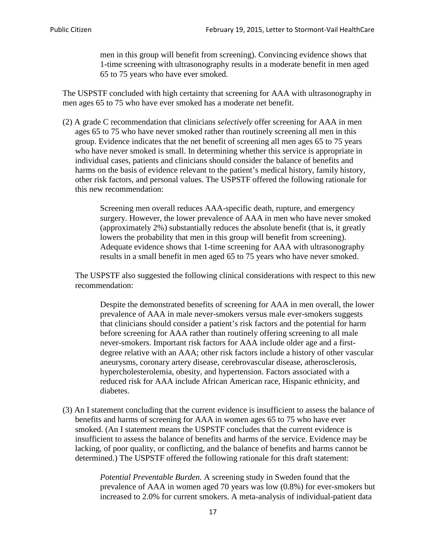men in this group will benefit from screening). Convincing evidence shows that 1-time screening with ultrasonography results in a moderate benefit in men aged 65 to 75 years who have ever smoked.

The USPSTF concluded with high certainty that screening for AAA with ultrasonography in men ages 65 to 75 who have ever smoked has a moderate net benefit.

(2) A grade C recommendation that clinicians *selectively* offer screening for AAA in men ages 65 to 75 who have never smoked rather than routinely screening all men in this group. Evidence indicates that the net benefit of screening all men ages 65 to 75 years who have never smoked is small. In determining whether this service is appropriate in individual cases, patients and clinicians should consider the balance of benefits and harms on the basis of evidence relevant to the patient's medical history, family history, other risk factors, and personal values. The USPSTF offered the following rationale for this new recommendation:

> Screening men overall reduces AAA-specific death, rupture, and emergency surgery. However, the lower prevalence of AAA in men who have never smoked (approximately 2%) substantially reduces the absolute benefit (that is, it greatly lowers the probability that men in this group will benefit from screening). Adequate evidence shows that 1-time screening for AAA with ultrasonography results in a small benefit in men aged 65 to 75 years who have never smoked.

The USPSTF also suggested the following clinical considerations with respect to this new recommendation:

Despite the demonstrated benefits of screening for AAA in men overall, the lower prevalence of AAA in male never-smokers versus male ever-smokers suggests that clinicians should consider a patient's risk factors and the potential for harm before screening for AAA rather than routinely offering screening to all male never-smokers. Important risk factors for AAA include older age and a firstdegree relative with an AAA; other risk factors include a history of other vascular aneurysms, coronary artery disease, cerebrovascular disease, atherosclerosis, hypercholesterolemia, obesity, and hypertension. Factors associated with a reduced risk for AAA include African American race, Hispanic ethnicity, and diabetes.

(3) An I statement concluding that the current evidence is insufficient to assess the balance of benefits and harms of screening for AAA in women ages 65 to 75 who have ever smoked. (An I statement means the USPSTF concludes that the current evidence is insufficient to assess the balance of benefits and harms of the service. Evidence may be lacking, of poor quality, or conflicting, and the balance of benefits and harms cannot be determined.) The USPSTF offered the following rationale for this draft statement:

> *Potential Preventable Burden.* A screening study in Sweden found that the prevalence of AAA in women aged 70 years was low (0.8%) for ever-smokers but increased to 2.0% for current smokers. A meta-analysis of individual-patient data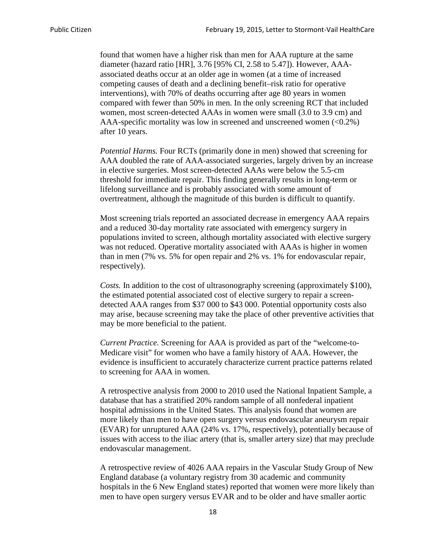found that women have a higher risk than men for AAA rupture at the same diameter (hazard ratio [HR], 3.76 [95% CI, 2.58 to 5.47]). However, AAAassociated deaths occur at an older age in women (at a time of increased competing causes of death and a declining benefit–risk ratio for operative interventions), with 70% of deaths occurring after age 80 years in women compared with fewer than 50% in men. In the only screening RCT that included women, most screen-detected AAAs in women were small (3.0 to 3.9 cm) and AAA-specific mortality was low in screened and unscreened women  $(\le 0.2\%)$ after 10 years.

*Potential Harms.* Four RCTs (primarily done in men) showed that screening for AAA doubled the rate of AAA-associated surgeries, largely driven by an increase in elective surgeries. Most screen-detected AAAs were below the 5.5-cm threshold for immediate repair. This finding generally results in long-term or lifelong surveillance and is probably associated with some amount of overtreatment, although the magnitude of this burden is difficult to quantify.

Most screening trials reported an associated decrease in emergency AAA repairs and a reduced 30-day mortality rate associated with emergency surgery in populations invited to screen, although mortality associated with elective surgery was not reduced. Operative mortality associated with AAAs is higher in women than in men (7% vs. 5% for open repair and 2% vs. 1% for endovascular repair, respectively).

*Costs.* In addition to the cost of ultrasonography screening (approximately \$100), the estimated potential associated cost of elective surgery to repair a screendetected AAA ranges from \$37 000 to \$43 000. Potential opportunity costs also may arise, because screening may take the place of other preventive activities that may be more beneficial to the patient.

*Current Practice.* Screening for AAA is provided as part of the "welcome-to-Medicare visit" for women who have a family history of AAA. However, the evidence is insufficient to accurately characterize current practice patterns related to screening for AAA in women.

A retrospective analysis from 2000 to 2010 used the National Inpatient Sample, a database that has a stratified 20% random sample of all nonfederal inpatient hospital admissions in the United States. This analysis found that women are more likely than men to have open surgery versus endovascular aneurysm repair (EVAR) for unruptured AAA (24% vs. 17%, respectively), potentially because of issues with access to the iliac artery (that is, smaller artery size) that may preclude endovascular management.

A retrospective review of 4026 AAA repairs in the Vascular Study Group of New England database (a voluntary registry from 30 academic and community hospitals in the 6 New England states) reported that women were more likely than men to have open surgery versus EVAR and to be older and have smaller aortic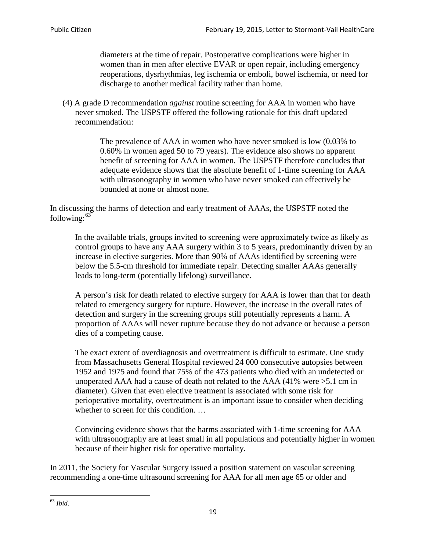diameters at the time of repair. Postoperative complications were higher in women than in men after elective EVAR or open repair, including emergency reoperations, dysrhythmias, leg ischemia or emboli, bowel ischemia, or need for discharge to another medical facility rather than home.

(4) A grade D recommendation *against* routine screening for AAA in women who have never smoked. The USPSTF offered the following rationale for this draft updated recommendation:

> The prevalence of AAA in women who have never smoked is low (0.03% to 0.60% in women aged 50 to 79 years). The evidence also shows no apparent benefit of screening for AAA in women. The USPSTF therefore concludes that adequate evidence shows that the absolute benefit of 1-time screening for AAA with ultrasonography in women who have never smoked can effectively be bounded at none or almost none.

In discussing the harms of detection and early treatment of AAAs, the USPSTF noted the following: $63$ 

In the available trials, groups invited to screening were approximately twice as likely as control groups to have any AAA surgery within 3 to 5 years, predominantly driven by an increase in elective surgeries. More than 90% of AAAs identified by screening were below the 5.5-cm threshold for immediate repair. Detecting smaller AAAs generally leads to long-term (potentially lifelong) surveillance.

A person's risk for death related to elective surgery for AAA is lower than that for death related to emergency surgery for rupture. However, the increase in the overall rates of detection and surgery in the screening groups still potentially represents a harm. A proportion of AAAs will never rupture because they do not advance or because a person dies of a competing cause.

The exact extent of overdiagnosis and overtreatment is difficult to estimate. One study from Massachusetts General Hospital reviewed 24 000 consecutive autopsies between 1952 and 1975 and found that 75% of the 473 patients who died with an undetected or unoperated AAA had a cause of death not related to the AAA (41% were >5.1 cm in diameter). Given that even elective treatment is associated with some risk for perioperative mortality, overtreatment is an important issue to consider when deciding whether to screen for this condition....

Convincing evidence shows that the harms associated with 1-time screening for AAA with ultrasonography are at least small in all populations and potentially higher in women because of their higher risk for operative mortality.

In 2011, the Society for Vascular Surgery issued a position statement on vascular screening recommending a one-time ultrasound screening for AAA for all men age 65 or older and

<span id="page-18-0"></span><sup>63</sup> *Ibid*.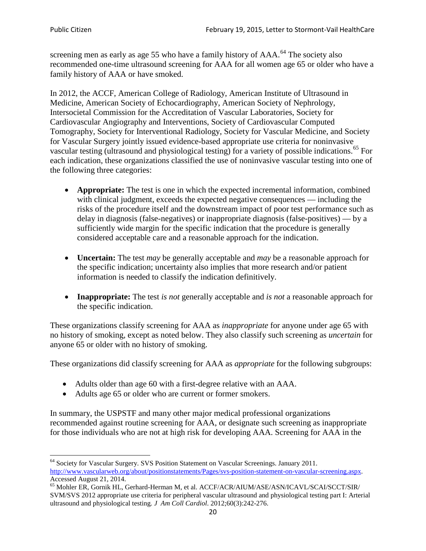screening men as early as age 55 who have a family history of AAA.<sup>[64](#page-19-0)</sup> The society also recommended one-time ultrasound screening for AAA for all women age 65 or older who have a family history of AAA or have smoked.

In 2012, the ACCF, American College of Radiology, American Institute of Ultrasound in Medicine, American Society of Echocardiography, American Society of Nephrology, Intersocietal Commission for the Accreditation of Vascular Laboratories, Society for Cardiovascular Angiography and Interventions, Society of Cardiovascular Computed Tomography, Society for Interventional Radiology, Society for Vascular Medicine, and Society for Vascular Surgery jointly issued evidence-based appropriate use criteria for noninvasive vascular testing (ultrasound and physiological testing) for a variety of possible indications.<sup>[65](#page-19-1)</sup> For each indication, these organizations classified the use of noninvasive vascular testing into one of the following three categories:

- **Appropriate:** The test is one in which the expected incremental information, combined with clinical judgment, exceeds the expected negative consequences — including the risks of the procedure itself and the downstream impact of poor test performance such as delay in diagnosis (false-negatives) or inappropriate diagnosis (false-positives) — by a sufficiently wide margin for the specific indication that the procedure is generally considered acceptable care and a reasonable approach for the indication.
- **Uncertain:** The test *may* be generally acceptable and *may* be a reasonable approach for the specific indication; uncertainty also implies that more research and/or patient information is needed to classify the indication definitively.
- **Inappropriate:** The test *is not* generally acceptable and *is not* a reasonable approach for the specific indication.

These organizations classify screening for AAA as *inappropriate* for anyone under age 65 with no history of smoking, except as noted below. They also classify such screening as *uncertain* for anyone 65 or older with no history of smoking.

These organizations did classify screening for AAA as *appropriate* for the following subgroups:

- Adults older than age 60 with a first-degree relative with an AAA.
- Adults age 65 or older who are current or former smokers.

In summary, the USPSTF and many other major medical professional organizations recommended against routine screening for AAA, or designate such screening as inappropriate for those individuals who are not at high risk for developing AAA. Screening for AAA in the

<span id="page-19-0"></span><sup>64</sup> Society for Vascular Surgery. SVS Position Statement on Vascular Screenings. January 2011. [http://www.vascularweb.org/about/positionstatements/Pages/svs-position-statement-on-vascular-screening.aspx.](http://www.vascularweb.org/about/positionstatements/Pages/svs-position-statement-on-vascular-screening.aspx) 

<span id="page-19-1"></span>Accessed August 21, 2014.<br><sup>65</sup> Mohler ER, Gornik HL, Gerhard-Herman M, et al. ACCF/ACR/AIUM/ASE/ASN/ICAVL/SCAI/SCCT/SIR/ SVM/SVS 2012 appropriate use criteria for peripheral vascular ultrasound and physiological testing part I: Arterial ultrasound and physiological testing*. J Am Coll Cardiol*. 2012;60(3):242-276.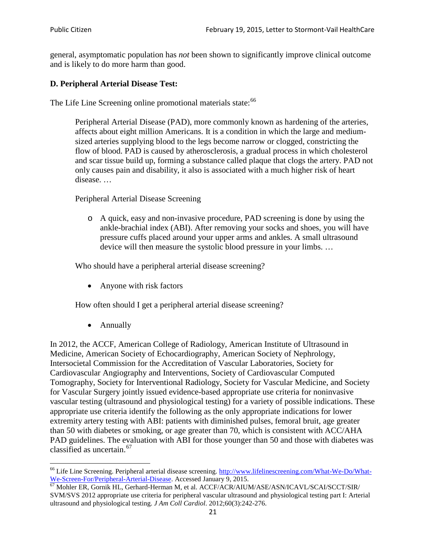general, asymptomatic population has *not* been shown to significantly improve clinical outcome and is likely to do more harm than good.

# **D. Peripheral Arterial Disease Test:**

The Life Line Screening online promotional materials state:<sup>[66](#page-20-0)</sup>

Peripheral Arterial Disease (PAD), more commonly known as hardening of the arteries, affects about eight million Americans. It is a condition in which the large and mediumsized arteries supplying blood to the legs become narrow or clogged, constricting the flow of blood. PAD is caused by atherosclerosis, a gradual process in which cholesterol and scar tissue build up, forming a substance called plaque that clogs the artery. PAD not only causes pain and disability, it also is associated with a much higher risk of heart disease. …

Peripheral Arterial Disease Screening

o A quick, easy and non-invasive procedure, PAD screening is done by using the ankle-brachial index (ABI). After removing your socks and shoes, you will have pressure cuffs placed around your upper arms and ankles. A small ultrasound device will then measure the systolic blood pressure in your limbs. …

Who should have a peripheral arterial disease screening?

• Anyone with risk factors

How often should I get a peripheral arterial disease screening?

• Annually

In 2012, the ACCF, American College of Radiology, American Institute of Ultrasound in Medicine, American Society of Echocardiography, American Society of Nephrology, Intersocietal Commission for the Accreditation of Vascular Laboratories, Society for Cardiovascular Angiography and Interventions, Society of Cardiovascular Computed Tomography, Society for Interventional Radiology, Society for Vascular Medicine, and Society for Vascular Surgery jointly issued evidence-based appropriate use criteria for noninvasive vascular testing (ultrasound and physiological testing) for a variety of possible indications. These appropriate use criteria identify the following as the only appropriate indications for lower extremity artery testing with ABI: patients with diminished pulses, femoral bruit, age greater than 50 with diabetes or smoking, or age greater than 70, which is consistent with ACC/AHA PAD guidelines. The evaluation with ABI for those younger than 50 and those with diabetes was classified as uncertain.<sup>[67](#page-20-1)</sup>

<span id="page-20-0"></span><sup>&</sup>lt;sup>66</sup> Life Line Screening. Peripheral arterial disease screening. [http://www.lifelinescreening.com/What-We-Do/What-](http://www.lifelinescreening.com/What-We-Do/What-We-Screen-For/Peripheral-Arterial-Disease)[We-Screen-For/Peripheral-Arterial-Disease.](http://www.lifelinescreening.com/What-We-Do/What-We-Screen-For/Peripheral-Arterial-Disease) Accessed January 9, 2015.<br><sup>67</sup> Mohler ER, Gornik HL, Gerhard-Herman M, et al. ACCF/ACR/AIUM/ASE/ASN/ICAVL/SCAI/SCCT/SIR/

<span id="page-20-1"></span>SVM/SVS 2012 appropriate use criteria for peripheral vascular ultrasound and physiological testing part I: Arterial ultrasound and physiological testing. *J Am Coll Cardiol*. 2012;60(3):242-276.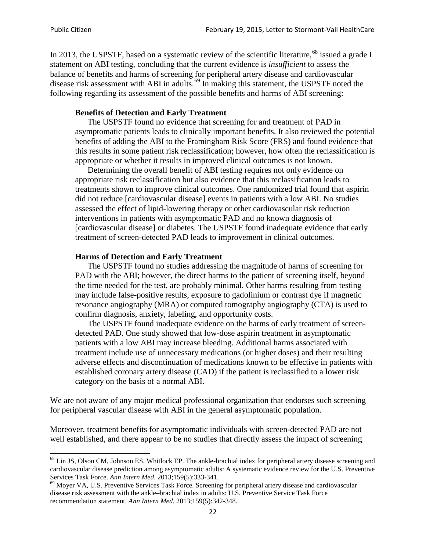In 2013, the USPSTF, based on a systematic review of the scientific literature,<sup>[68](#page-21-0)</sup> issued a grade I statement on ABI testing, concluding that the current evidence is *insufficient* to assess the balance of benefits and harms of screening for peripheral artery disease and cardiovascular disease risk assessment with ABI in adults.<sup>[69](#page-21-1)</sup> In making this statement, the USPSTF noted the following regarding its assessment of the possible benefits and harms of ABI screening:

### **Benefits of Detection and Early Treatment**

The USPSTF found no evidence that screening for and treatment of PAD in asymptomatic patients leads to clinically important benefits. It also reviewed the potential benefits of adding the ABI to the Framingham Risk Score (FRS) and found evidence that this results in some patient risk reclassification; however, how often the reclassification is appropriate or whether it results in improved clinical outcomes is not known.

Determining the overall benefit of ABI testing requires not only evidence on appropriate risk reclassification but also evidence that this reclassification leads to treatments shown to improve clinical outcomes. One randomized trial found that aspirin did not reduce [cardiovascular disease] events in patients with a low ABI. No studies assessed the effect of lipid-lowering therapy or other cardiovascular risk reduction interventions in patients with asymptomatic PAD and no known diagnosis of [cardiovascular disease] or diabetes. The USPSTF found inadequate evidence that early treatment of screen-detected PAD leads to improvement in clinical outcomes.

#### **Harms of Detection and Early Treatment**

The USPSTF found no studies addressing the magnitude of harms of screening for PAD with the ABI; however, the direct harms to the patient of screening itself, beyond the time needed for the test, are probably minimal. Other harms resulting from testing may include false-positive results, exposure to gadolinium or contrast dye if magnetic resonance angiography (MRA) or computed tomography angiography (CTA) is used to confirm diagnosis, anxiety, labeling, and opportunity costs.

The USPSTF found inadequate evidence on the harms of early treatment of screendetected PAD. One study showed that low-dose aspirin treatment in asymptomatic patients with a low ABI may increase bleeding. Additional harms associated with treatment include use of unnecessary medications (or higher doses) and their resulting adverse effects and discontinuation of medications known to be effective in patients with established coronary artery disease (CAD) if the patient is reclassified to a lower risk category on the basis of a normal ABI.

We are not aware of any major medical professional organization that endorses such screening for peripheral vascular disease with ABI in the general asymptomatic population.

Moreover, treatment benefits for asymptomatic individuals with screen-detected PAD are not well established, and there appear to be no studies that directly assess the impact of screening

<span id="page-21-0"></span><sup>&</sup>lt;sup>68</sup> Lin JS, Olson CM, Johnson ES, Whitlock EP. The ankle-brachial index for peripheral artery disease screening and cardiovascular disease prediction among asymptomatic adults: A systematic evidence review for the U.S. Preventive Services Task Force. *Ann Intern Med.* 2013;159(5):333-341.<br><sup>69</sup> Moyer VA, U.S. Preventive Services Task Force. Screening for peripheral artery disease and cardiovascular

<span id="page-21-1"></span>disease risk assessment with the ankle–brachial index in adults: U.S. Preventive Service Task Force recommendation statement. *Ann Intern Med.* 2013;159(5):342-348.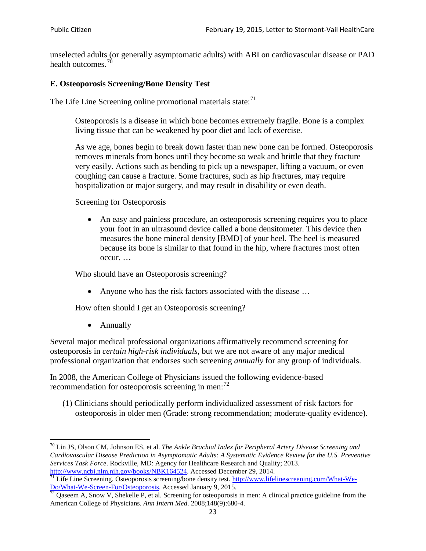unselected adults (or generally asymptomatic adults) with ABI on cardiovascular disease or PAD health outcomes.<sup>[70](#page-22-0)</sup>

# **E. Osteoporosis Screening/Bone Density Test**

The Life Line Screening online promotional materials state: $<sup>71</sup>$  $<sup>71</sup>$  $<sup>71</sup>$ </sup>

Osteoporosis is a disease in which bone becomes extremely fragile. Bone is a complex living tissue that can be weakened by poor diet and lack of exercise.

As we age, bones begin to break down faster than new bone can be formed. Osteoporosis removes minerals from bones until they become so weak and brittle that they fracture very easily. Actions such as bending to pick up a newspaper, lifting a vacuum, or even coughing can cause a fracture. Some fractures, such as hip fractures, may require hospitalization or major surgery, and may result in disability or even death.

Screening for Osteoporosis

• An easy and painless procedure, an osteoporosis screening requires you to place your foot in an ultrasound device called a bone densitometer. This device then measures the bone mineral density [BMD] of your heel. The heel is measured because its bone is similar to that found in the hip, where fractures most often occur. …

Who should have an Osteoporosis screening?

• Anyone who has the risk factors associated with the disease ...

How often should I get an Osteoporosis screening?

• Annually

Several major medical professional organizations affirmatively recommend screening for osteoporosis in *certain high-risk individuals*, but we are not aware of any major medical professional organization that endorses such screening *annually* for any group of individuals.

In 2008, the American College of Physicians issued the following evidence-based recommendation for osteoporosis screening in men: $^{72}$  $^{72}$  $^{72}$ 

(1) Clinicians should periodically perform individualized assessment of risk factors for osteoporosis in older men (Grade: strong recommendation; moderate-quality evidence).

<span id="page-22-0"></span><sup>70</sup> [Lin JS,](http://www.ncbi.nlm.nih.gov/pubmed?term=Lin%20JS%5BAuthor%5D&cauthor=true&cauthor_uid=24156115) [Olson CM,](http://www.ncbi.nlm.nih.gov/pubmed?term=Olson%20CM%5BAuthor%5D&cauthor=true&cauthor_uid=24156115) [Johnson ES,](http://www.ncbi.nlm.nih.gov/pubmed?term=Johnson%20ES%5BAuthor%5D&cauthor=true&cauthor_uid=24156115) et al. *The Ankle Brachial Index for Peripheral Artery Disease Screening and Cardiovascular Disease Prediction in Asymptomatic Adults: A Systematic Evidence Review for the U.S. Preventive Services Task Force*. Rockville, MD: Agency for Healthcare Research and Quality; 2013.<br>http://www.ncbi.nlm.nih.gov/books/NBK164524. Accessed December 29, 2014.

<span id="page-22-1"></span> $\frac{1}{71}$  Life Line Screening. Osteoporosis screening/bone density test. [http://www.lifelinescreening.com/What-We-](http://www.lifelinescreening.com/What-We-Do/What-We-Screen-For/Osteoporosis)[Do/What-We-Screen-For/Osteoporosis.](http://www.lifelinescreening.com/What-We-Do/What-We-Screen-For/Osteoporosis) Accessed January 9, 2015. <sup>72</sup> Qaseem A, Snow V, Shekelle P, et al. Screening for osteoporosis in men: A clinical practice guideline from the

<span id="page-22-2"></span>American College of Physicians. *Ann Intern Med*. 2008;148(9):680-4.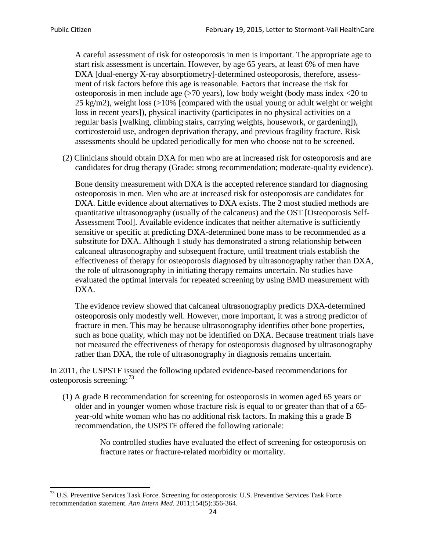A careful assessment of risk for osteoporosis in men is important. The appropriate age to start risk assessment is uncertain. However, by age 65 years, at least 6% of men have DXA [dual-energy X-ray absorptiometry]-determined osteoporosis, therefore, assessment of risk factors before this age is reasonable. Factors that increase the risk for osteoporosis in men include age (>70 years), low body weight (body mass index <20 to 25 kg/m2), weight loss  $\langle$  >10% [compared with the usual young or adult weight or weight loss in recent years]), physical inactivity (participates in no physical activities on a regular basis [walking, climbing stairs, carrying weights, housework, or gardening]), corticosteroid use, androgen deprivation therapy, and previous fragility fracture. Risk assessments should be updated periodically for men who choose not to be screened.

(2) Clinicians should obtain DXA for men who are at increased risk for osteoporosis and are candidates for drug therapy (Grade: strong recommendation; moderate-quality evidence).

Bone density measurement with DXA is the accepted reference standard for diagnosing osteoporosis in men. Men who are at increased risk for osteoporosis are candidates for DXA. Little evidence about alternatives to DXA exists. The 2 most studied methods are quantitative ultrasonography (usually of the calcaneus) and the OST [Osteoporosis Self-Assessment Tool]. Available evidence indicates that neither alternative is sufficiently sensitive or specific at predicting DXA-determined bone mass to be recommended as a substitute for DXA. Although 1 study has demonstrated a strong relationship between calcaneal ultrasonography and subsequent fracture, until treatment trials establish the effectiveness of therapy for osteoporosis diagnosed by ultrasonography rather than DXA, the role of ultrasonography in initiating therapy remains uncertain. No studies have evaluated the optimal intervals for repeated screening by using BMD measurement with DXA.

The evidence review showed that calcaneal ultrasonography predicts DXA-determined osteoporosis only modestly well. However, more important, it was a strong predictor of fracture in men. This may be because ultrasonography identifies other bone properties, such as bone quality, which may not be identified on DXA. Because treatment trials have not measured the effectiveness of therapy for osteoporosis diagnosed by ultrasonography rather than DXA, the role of ultrasonography in diagnosis remains uncertain.

In 2011, the USPSTF issued the following updated evidence-based recommendations for osteoporosis screening:<sup>[73](#page-23-0)</sup>

(1) A grade B recommendation for screening for osteoporosis in women aged 65 years or older and in younger women whose fracture risk is equal to or greater than that of a 65 year-old white woman who has no additional risk factors. In making this a grade B recommendation, the USPSTF offered the following rationale:

> No controlled studies have evaluated the effect of screening for osteoporosis on fracture rates or fracture-related morbidity or mortality.

<span id="page-23-0"></span><sup>&</sup>lt;sup>73</sup> U.S. Preventive Services Task Force. Screening for osteoporosis: U.S. Preventive Services Task Force recommendation statement. *Ann Intern Med*. 2011;154(5):356-364.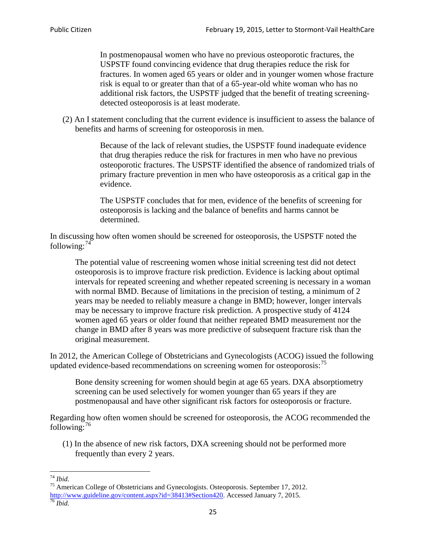In postmenopausal women who have no previous osteoporotic fractures, the USPSTF found convincing evidence that drug therapies reduce the risk for fractures. In women aged 65 years or older and in younger women whose fracture risk is equal to or greater than that of a 65-year-old white woman who has no additional risk factors, the USPSTF judged that the benefit of treating screeningdetected osteoporosis is at least moderate.

(2) An I statement concluding that the current evidence is insufficient to assess the balance of benefits and harms of screening for osteoporosis in men.

> Because of the lack of relevant studies, the USPSTF found inadequate evidence that drug therapies reduce the risk for fractures in men who have no previous osteoporotic fractures. The USPSTF identified the absence of randomized trials of primary fracture prevention in men who have osteoporosis as a critical gap in the evidence.

The USPSTF concludes that for men, evidence of the benefits of screening for osteoporosis is lacking and the balance of benefits and harms cannot be determined.

In discussing how often women should be screened for osteoporosis, the USPSTF noted the following: $74$ 

The potential value of rescreening women whose initial screening test did not detect osteoporosis is to improve fracture risk prediction. Evidence is lacking about optimal intervals for repeated screening and whether repeated screening is necessary in a woman with normal BMD. Because of limitations in the precision of testing, a minimum of 2 years may be needed to reliably measure a change in BMD; however, longer intervals may be necessary to improve fracture risk prediction. A prospective study of 4124 women aged 65 years or older found that neither repeated BMD measurement nor the change in BMD after 8 years was more predictive of subsequent fracture risk than the original measurement.

In 2012, the American College of Obstetricians and Gynecologists (ACOG) issued the following updated evidence-based recommendations on screening women for osteoporosis:<sup>[75](#page-24-1)</sup>

Bone density screening for women should begin at age 65 years. DXA absorptiometry screening can be used selectively for women younger than 65 years if they are postmenopausal and have other significant risk factors for osteoporosis or fracture.

Regarding how often women should be screened for osteoporosis, the ACOG recommended the following: $^{76}$  $^{76}$  $^{76}$ 

(1) In the absence of new risk factors, DXA screening should not be performed more frequently than every 2 years.

<span id="page-24-2"></span><span id="page-24-1"></span><span id="page-24-0"></span><sup>74</sup> *Ibid.* <sup>75</sup> American College of Obstetricians and Gynecologists. Osteoporosis. September 17, 2012. [http://www.guideline.gov/content.aspx?id=38413#Section420.](http://www.guideline.gov/content.aspx?id=38413#Section420) Accessed January 7, 2015.<br><sup>76</sup> *Ibid.*